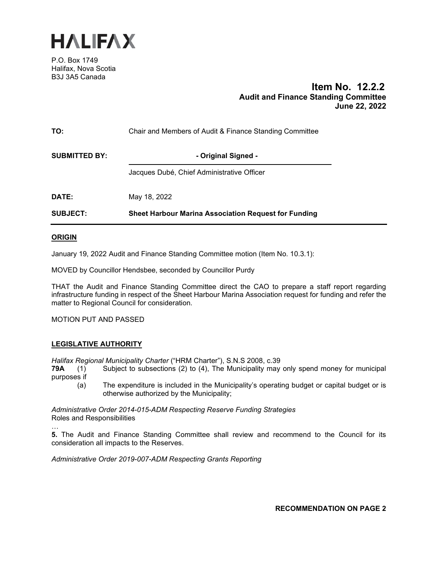

P.O. Box 1749 Halifax, Nova Scotia B3J 3A5 Canada

# **Item No. 12.2.2 Audit and Finance Standing Committee June 22, 2022**

| TO:                  | Chair and Members of Audit & Finance Standing Committee |  |  |
|----------------------|---------------------------------------------------------|--|--|
| <b>SUBMITTED BY:</b> | - Original Signed -                                     |  |  |
|                      | Jacques Dubé, Chief Administrative Officer              |  |  |
| DATE:                | May 18, 2022                                            |  |  |
| <b>SUBJECT:</b>      | Sheet Harbour Marina Association Request for Funding    |  |  |

# **ORIGIN**

…

January 19, 2022 Audit and Finance Standing Committee motion (Item No. 10.3.1):

MOVED by Councillor Hendsbee, seconded by Councillor Purdy

THAT the Audit and Finance Standing Committee direct the CAO to prepare a staff report regarding infrastructure funding in respect of the Sheet Harbour Marina Association request for funding and refer the matter to Regional Council for consideration.

MOTION PUT AND PASSED

# **LEGISLATIVE AUTHORITY**

*Halifax Regional Municipality Charter* ("HRM Charter"), S.N.S 2008, c.39

- **79A** (1) Subject to subsections (2) to (4), The Municipality may only spend money for municipal purposes if
	- (a) The expenditure is included in the Municipality's operating budget or capital budget or is otherwise authorized by the Municipality;

*Administrative Order 2014-015-ADM Respecting Reserve Funding Strategies* Roles and Responsibilities

**5.** The Audit and Finance Standing Committee shall review and recommend to the Council for its consideration all impacts to the Reserves.

*Administrative Order 2019-007-ADM Respecting Grants Reporting*

**RECOMMENDATION ON PAGE 2**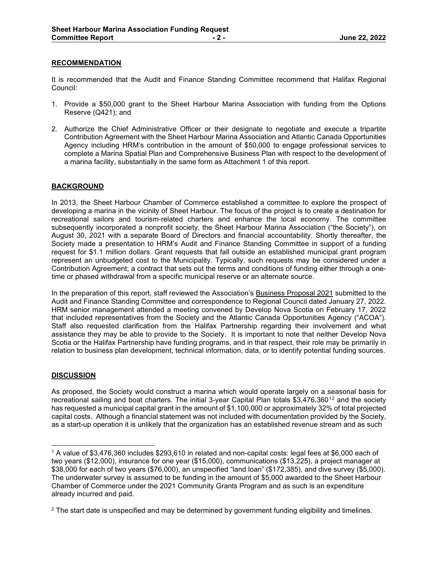# **RECOMMENDATION**

It is recommended that the Audit and Finance Standing Committee recommend that Halifax Regional Council:

- 1. Provide a \$50,000 grant to the Sheet Harbour Marina Association with funding from the Options Reserve (Q421); and
- 2. Authorize the Chief Administrative Officer or their designate to negotiate and execute a tripartite Contribution Agreement with the Sheet Harbour Marina Association and Atlantic Canada Opportunities Agency including HRM's contribution in the amount of \$50,000 to engage professional services to complete a Marina Spatial Plan and Comprehensive Business Plan with respect to the development of a marina facility, substantially in the same form as Attachment 1 of this report.

# **BACKGROUND**

In 2013, the Sheet Harbour Chamber of Commerce established a committee to explore the prospect of developing a marina in the vicinity of Sheet Harbour. The focus of the project is to create a destination for recreational sailors and tourism-related charters and enhance the local economy. The committee subsequently incorporated a nonprofit society, the Sheet Harbour Marina Association ("the Society"), on August 30, 2021 with a separate Board of Directors and financial accountability. Shortly thereafter, the Society made a presentation to HRM's Audit and Finance Standing Committee in support of a funding request for \$1.1 million dollars. Grant requests that fall outside an established municipal grant program represent an unbudgeted cost to the Municipality. Typically, such requests may be considered under a Contribution Agreement; a contract that sets out the terms and conditions of funding either through a onetime or phased withdrawal from a specific municipal reserve or an alternate source.

In the preparation of this report, staff reviewed the Association's Business Proposal 2021 submitted to the Audit and Finance Standing Committee and correspondence to Regional Council dated January 27, 2022. HRM senior management attended a meeting convened by Develop Nova Scotia on February 17, 2022 that included representatives from the Society and the Atlantic Canada Opportunities Agency ("ACOA"). Staff also requested clarification from the Halifax Partnership regarding their involvement and what assistance they may be able to provide to the Society. It is important to note that neither Develop Nova Scotia or the Halifax Partnership have funding programs, and in that respect, their role may be primarily in relation to business plan development, technical information, data, or to identify potential funding sources.

# **DISCUSSION**

As proposed, the Society would construct a marina which would operate largely on a seasonal basis for recreational sailing and boat charters. The initial 3-year Capital Plan totals \$3,476,360<sup>[1](#page-1-0)[2](#page-1-1)</sup> and the society has requested a municipal capital grant in the amount of \$1,100,000 or approximately 32% of total projected capital costs. Although a financial statement was not included with documentation provided by the Society, as a start-up operation it is unlikely that the organization has an established revenue stream and as such

<span id="page-1-0"></span><sup>1</sup> A value of \$3,476,360 includes \$293,610 in related and non-capital costs: legal fees at \$6,000 each of two years (\$12,000), insurance for one year (\$15,000), communications (\$13,225), a project manager at \$38,000 for each of two years (\$76,000), an unspecified "land loan" (\$172,385), and dive survey (\$5,000). The underwater survey is assumed to be funding in the amount of \$5,000 awarded to the Sheet Harbour Chamber of Commerce under the 2021 Community Grants Program and as such is an expenditure already incurred and paid.

<span id="page-1-1"></span><sup>&</sup>lt;sup>2</sup> The start date is unspecified and may be determined by government funding eligibility and timelines.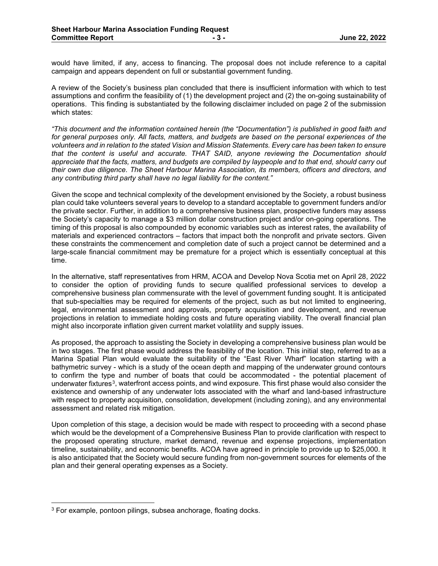would have limited, if any, access to financing. The proposal does not include reference to a capital campaign and appears dependent on full or substantial government funding.

A review of the Society's business plan concluded that there is insufficient information with which to test assumptions and confirm the feasibility of (1) the development project and (2) the on-going sustainability of operations. This finding is substantiated by the following disclaimer included on page 2 of the submission which states:

*"This document and the information contained herein (the "Documentation") is published in good faith and for general purposes only. All facts, matters, and budgets are based on the personal experiences of the volunteers and in relation to the stated Vision and Mission Statements. Every care has been taken to ensure that the content is useful and accurate. THAT SAID, anyone reviewing the Documentation should appreciate that the facts, matters, and budgets are compiled by laypeople and to that end, should carry out their own due diligence. The Sheet Harbour Marina Association, its members, officers and directors, and any contributing third party shall have no legal liability for the content."*

Given the scope and technical complexity of the development envisioned by the Society, a robust business plan could take volunteers several years to develop to a standard acceptable to government funders and/or the private sector. Further, in addition to a comprehensive business plan, prospective funders may assess the Society's capacity to manage a \$3 million dollar construction project and/or on-going operations. The timing of this proposal is also compounded by economic variables such as interest rates, the availability of materials and experienced contractors – factors that impact both the nonprofit and private sectors. Given these constraints the commencement and completion date of such a project cannot be determined and a large-scale financial commitment may be premature for a project which is essentially conceptual at this time.

In the alternative, staff representatives from HRM, ACOA and Develop Nova Scotia met on April 28, 2022 to consider the option of providing funds to secure qualified professional services to develop a comprehensive business plan commensurate with the level of government funding sought. It is anticipated that sub-specialties may be required for elements of the project, such as but not limited to engineering, legal, environmental assessment and approvals, property acquisition and development, and revenue projections in relation to immediate holding costs and future operating viability. The overall financial plan might also incorporate inflation given current market volatility and supply issues.

As proposed, the approach to assisting the Society in developing a comprehensive business plan would be in two stages. The first phase would address the feasibility of the location. This initial step, referred to as a Marina Spatial Plan would evaluate the suitability of the "East River Wharf" location starting with a bathymetric survey - which is a study of the ocean depth and mapping of the underwater ground contours to confirm the type and number of boats that could be accommodated - the potential placement of underwater fixtures<sup>3</sup>, waterfront access points, and wind exposure. This first phase would also consider the existence and ownership of any underwater lots associated with the wharf and land-based infrastructure with respect to property acquisition, consolidation, development (including zoning), and any environmental assessment and related risk mitigation.

Upon completion of this stage, a decision would be made with respect to proceeding with a second phase which would be the development of a Comprehensive Business Plan to provide clarification with respect to the proposed operating structure, market demand, revenue and expense projections, implementation timeline, sustainability, and economic benefits. ACOA have agreed in principle to provide up to \$25,000. It is also anticipated that the Society would secure funding from non-government sources for elements of the plan and their general operating expenses as a Society.

<span id="page-2-0"></span><sup>3</sup> For example, pontoon pilings, subsea anchorage, floating docks.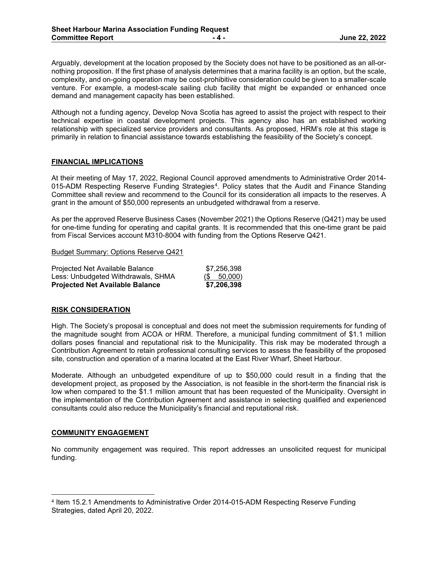Arguably, development at the location proposed by the Society does not have to be positioned as an all-ornothing proposition. If the first phase of analysis determines that a marina facility is an option, but the scale, complexity, and on-going operation may be cost-prohibitive consideration could be given to a smaller-scale venture. For example, a modest-scale sailing club facility that might be expanded or enhanced once demand and management capacity has been established.

Although not a funding agency, Develop Nova Scotia has agreed to assist the project with respect to their technical expertise in coastal development projects. This agency also has an established working relationship with specialized service providers and consultants. As proposed, HRM's role at this stage is primarily in relation to financial assistance towards establishing the feasibility of the Society's concept.

# **FINANCIAL IMPLICATIONS**

At their meeting of May 17, 2022, Regional Council approved amendments to Administrative Order 2014- 015-ADM Respecting Reserve Funding Strategies<sup>[4](#page-3-0)</sup>. Policy states that the Audit and Finance Standing Committee shall review and recommend to the Council for its consideration all impacts to the reserves. A grant in the amount of \$50,000 represents an unbudgeted withdrawal from a reserve.

As per the approved Reserve Business Cases (November 2021) the Options Reserve (Q421) may be used for one-time funding for operating and capital grants. It is recommended that this one-time grant be paid from Fiscal Services account M310-8004 with funding from the Options Reserve Q421.

Budget Summary: Options Reserve Q421

| <b>Projected Net Available Balance</b> | \$7,206,398    |
|----------------------------------------|----------------|
| Less: Unbudgeted Withdrawals, SHMA     | $($ \$ 50,000) |
| Projected Net Available Balance        | \$7,256,398    |

# **RISK CONSIDERATION**

High. The Society's proposal is conceptual and does not meet the submission requirements for funding of the magnitude sought from ACOA or HRM. Therefore, a municipal funding commitment of \$1.1 million dollars poses financial and reputational risk to the Municipality. This risk may be moderated through a Contribution Agreement to retain professional consulting services to assess the feasibility of the proposed site, construction and operation of a marina located at the East River Wharf, Sheet Harbour.

Moderate. Although an unbudgeted expenditure of up to \$50,000 could result in a finding that the development project, as proposed by the Association, is not feasible in the short-term the financial risk is low when compared to the \$1.1 million amount that has been requested of the Municipality. Oversight in the implementation of the Contribution Agreement and assistance in selecting qualified and experienced consultants could also reduce the Municipality's financial and reputational risk.

# **COMMUNITY ENGAGEMENT**

No community engagement was required. This report addresses an unsolicited request for municipal funding.

<span id="page-3-0"></span><sup>4</sup> Item 15.2.1 Amendments to Administrative Order 2014-015-ADM Respecting Reserve Funding Strategies, dated April 20, 2022.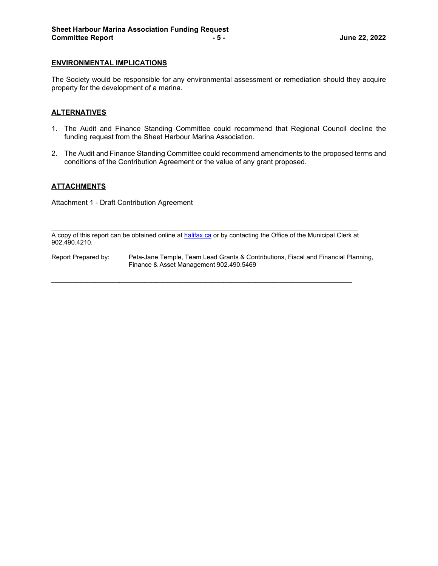# **ENVIRONMENTAL IMPLICATIONS**

The Society would be responsible for any environmental assessment or remediation should they acquire property for the development of a marina.

# **ALTERNATIVES**

- 1. The Audit and Finance Standing Committee could recommend that Regional Council decline the funding request from the Sheet Harbour Marina Association.
- 2. The Audit and Finance Standing Committee could recommend amendments to the proposed terms and conditions of the Contribution Agreement or the value of any grant proposed.

# **ATTACHMENTS**

Attachment 1 - Draft Contribution Agreement

\_\_\_\_\_\_\_\_\_\_\_\_\_\_\_\_\_\_\_\_\_\_\_\_\_\_\_\_\_\_\_\_\_\_\_\_\_\_\_\_\_\_\_\_\_\_\_\_\_\_\_\_\_\_\_\_\_\_\_\_\_\_\_\_\_\_\_\_\_\_\_\_\_\_\_\_\_ A copy of this report can be obtained online a[t halifax.ca](http://www.halifax.ca/) or by contacting the Office of the Municipal Clerk at 902.490.4210.

 $\_$  ,  $\_$  ,  $\_$  ,  $\_$  ,  $\_$  ,  $\_$  ,  $\_$  ,  $\_$  ,  $\_$  ,  $\_$  ,  $\_$  ,  $\_$  ,  $\_$  ,  $\_$  ,  $\_$  ,  $\_$  ,  $\_$  ,  $\_$  ,  $\_$  ,  $\_$  ,  $\_$  ,  $\_$  ,  $\_$  ,  $\_$  ,  $\_$  ,  $\_$  ,  $\_$  ,  $\_$  ,  $\_$  ,  $\_$  ,  $\_$  ,  $\_$  ,  $\_$  ,  $\_$  ,  $\_$  ,  $\_$  ,  $\_$  ,

Report Prepared by: Peta-Jane Temple, Team Lead Grants & Contributions, Fiscal and Financial Planning, Finance & Asset Management 902.490.5469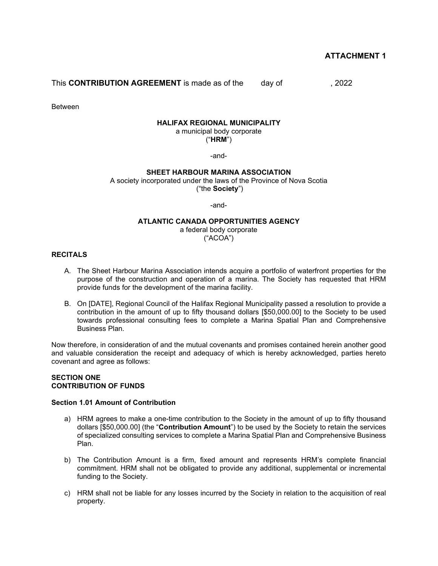# **ATTACHMENT 1**

This **CONTRIBUTION AGREEMENT** is made as of the day of , 2022

Between

#### **HALIFAX REGIONAL MUNICIPALITY**

a municipal body corporate

("**HRM**")

-and-

#### **SHEET HARBOUR MARINA ASSOCIATION**

A society incorporated under the laws of the Province of Nova Scotia ("the **Society**")

-and-

# **ATLANTIC CANADA OPPORTUNITIES AGENCY**

a federal body corporate ("ACOA")

#### **RECITALS**

- A. The Sheet Harbour Marina Association intends acquire a portfolio of waterfront properties for the purpose of the construction and operation of a marina. The Society has requested that HRM provide funds for the development of the marina facility.
- B. On [DATE], Regional Council of the Halifax Regional Municipality passed a resolution to provide a contribution in the amount of up to fifty thousand dollars [\$50,000.00] to the Society to be used towards professional consulting fees to complete a Marina Spatial Plan and Comprehensive Business Plan.

Now therefore, in consideration of and the mutual covenants and promises contained herein another good and valuable consideration the receipt and adequacy of which is hereby acknowledged, parties hereto covenant and agree as follows:

#### **SECTION ONE CONTRIBUTION OF FUNDS**

#### **Section 1.01 Amount of Contribution**

- a) HRM agrees to make a one-time contribution to the Society in the amount of up to fifty thousand dollars [\$50,000.00] (the "**Contribution Amount**") to be used by the Society to retain the services of specialized consulting services to complete a Marina Spatial Plan and Comprehensive Business Plan.
- b) The Contribution Amount is a firm, fixed amount and represents HRM's complete financial commitment. HRM shall not be obligated to provide any additional, supplemental or incremental funding to the Society.
- c) HRM shall not be liable for any losses incurred by the Society in relation to the acquisition of real property.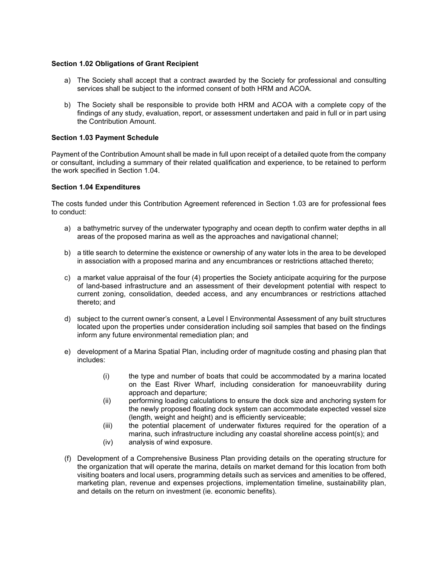# **Section 1.02 Obligations of Grant Recipient**

- a) The Society shall accept that a contract awarded by the Society for professional and consulting services shall be subject to the informed consent of both HRM and ACOA.
- b) The Society shall be responsible to provide both HRM and ACOA with a complete copy of the findings of any study, evaluation, report, or assessment undertaken and paid in full or in part using the Contribution Amount.

## **Section 1.03 Payment Schedule**

Payment of the Contribution Amount shall be made in full upon receipt of a detailed quote from the company or consultant, including a summary of their related qualification and experience, to be retained to perform the work specified in Section 1.04.

#### **Section 1.04 Expenditures**

The costs funded under this Contribution Agreement referenced in Section 1.03 are for professional fees to conduct:

- a) a bathymetric survey of the underwater typography and ocean depth to confirm water depths in all areas of the proposed marina as well as the approaches and navigational channel;
- b) a title search to determine the existence or ownership of any water lots in the area to be developed in association with a proposed marina and any encumbrances or restrictions attached thereto;
- c) a market value appraisal of the four (4) properties the Society anticipate acquiring for the purpose of land-based infrastructure and an assessment of their development potential with respect to current zoning, consolidation, deeded access, and any encumbrances or restrictions attached thereto; and
- d) subject to the current owner's consent, a Level I Environmental Assessment of any built structures located upon the properties under consideration including soil samples that based on the findings inform any future environmental remediation plan; and
- e) development of a Marina Spatial Plan, including order of magnitude costing and phasing plan that includes:
	- (i) the type and number of boats that could be accommodated by a marina located on the East River Wharf, including consideration for manoeuvrability during approach and departure;
	- (ii) performing loading calculations to ensure the dock size and anchoring system for the newly proposed floating dock system can accommodate expected vessel size (length, weight and height) and is efficiently serviceable;
	- (iii) the potential placement of underwater fixtures required for the operation of a marina, such infrastructure including any coastal shoreline access point(s); and
	- (iv) analysis of wind exposure.
- (f) Development of a Comprehensive Business Plan providing details on the operating structure for the organization that will operate the marina, details on market demand for this location from both visiting boaters and local users, programming details such as services and amenities to be offered, marketing plan, revenue and expenses projections, implementation timeline, sustainability plan, and details on the return on investment (ie. economic benefits).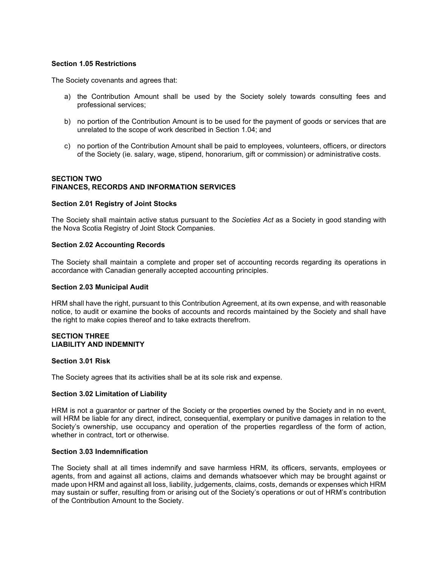## **Section 1.05 Restrictions**

The Society covenants and agrees that:

- a) the Contribution Amount shall be used by the Society solely towards consulting fees and professional services;
- b) no portion of the Contribution Amount is to be used for the payment of goods or services that are unrelated to the scope of work described in Section 1.04; and
- c) no portion of the Contribution Amount shall be paid to employees, volunteers, officers, or directors of the Society (ie. salary, wage, stipend, honorarium, gift or commission) or administrative costs.

# **SECTION TWO FINANCES, RECORDS AND INFORMATION SERVICES**

#### **Section 2.01 Registry of Joint Stocks**

The Society shall maintain active status pursuant to the *Societies Act* as a Society in good standing with the Nova Scotia Registry of Joint Stock Companies.

#### **Section 2.02 Accounting Records**

The Society shall maintain a complete and proper set of accounting records regarding its operations in accordance with Canadian generally accepted accounting principles.

#### **Section 2.03 Municipal Audit**

HRM shall have the right, pursuant to this Contribution Agreement, at its own expense, and with reasonable notice, to audit or examine the books of accounts and records maintained by the Society and shall have the right to make copies thereof and to take extracts therefrom.

#### **SECTION THREE LIABILITY AND INDEMNITY**

#### **Section 3.01 Risk**

The Society agrees that its activities shall be at its sole risk and expense.

#### **Section 3.02 Limitation of Liability**

HRM is not a guarantor or partner of the Society or the properties owned by the Society and in no event, will HRM be liable for any direct, indirect, consequential, exemplary or punitive damages in relation to the Society's ownership, use occupancy and operation of the properties regardless of the form of action, whether in contract, tort or otherwise.

#### **Section 3.03 Indemnification**

The Society shall at all times indemnify and save harmless HRM, its officers, servants, employees or agents, from and against all actions, claims and demands whatsoever which may be brought against or made upon HRM and against all loss, liability, judgements, claims, costs, demands or expenses which HRM may sustain or suffer, resulting from or arising out of the Society's operations or out of HRM's contribution of the Contribution Amount to the Society.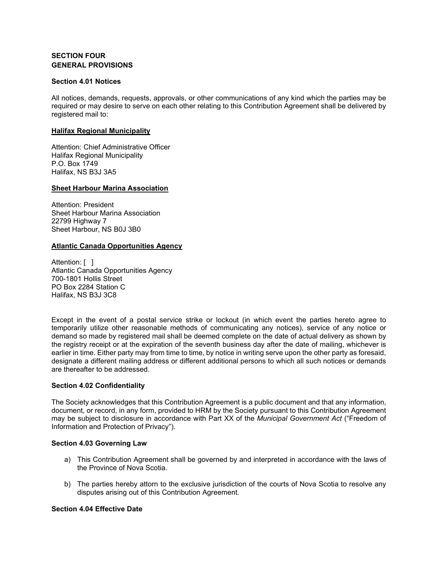# **SECTION FOUR GENERAL PROVISIONS**

## **Section 4.01 Notices**

All notices, demands, requests, approvals, or other communications of any kind which the parties may be required or may desire to serve on each other relating to this Contribution Agreement shall be delivered by registered mail to:

# **Halifax Regional Municipality**

Attention: Chief Administrative Officer Halifax Regional Municipality P.O. Box 1749 Halifax, NS B3J 3A5

# **Sheet Harbour Marina Association**

Attention: President Sheet Harbour Marina Association 22799 Highway 7 Sheet Harbour, NS B0J 3B0

# **Atlantic Canada Opportunities Agency**

Attention: [ ] Atlantic Canada Opportunities Agency 700-1801 Hollis Street PO Box 2284 Station C Halifax, NS B3J 3C8

Except in the event of a postal service strike or lockout (in which event the parties hereto agree to temporarily utilize other reasonable methods of communicating any notices), service of any notice or demand so made by registered mail shall be deemed complete on the date of actual delivery as shown by the registry receipt or at the expiration of the seventh business day after the date of mailing, whichever is earlier in time. Either party may from time to time, by notice in writing serve upon the other party as foresaid, designate a different mailing address or different additional persons to which all such notices or demands are thereafter to be addressed.

# **Section 4.02 Confidentiality**

The Society acknowledges that this Contribution Agreement is a public document and that any information, document, or record, in any form, provided to HRM by the Society pursuant to this Contribution Agreement may be subject to disclosure in accordance with Part XX of the *Municipal Government Act* ("Freedom of Information and Protection of Privacy").

# **Section 4.03 Governing Law**

- a) This Contribution Agreement shall be governed by and interpreted in accordance with the laws of the Province of Nova Scotia.
- b) The parties hereby attorn to the exclusive jurisdiction of the courts of Nova Scotia to resolve any disputes arising out of this Contribution Agreement.

# **Section 4.04 Effective Date**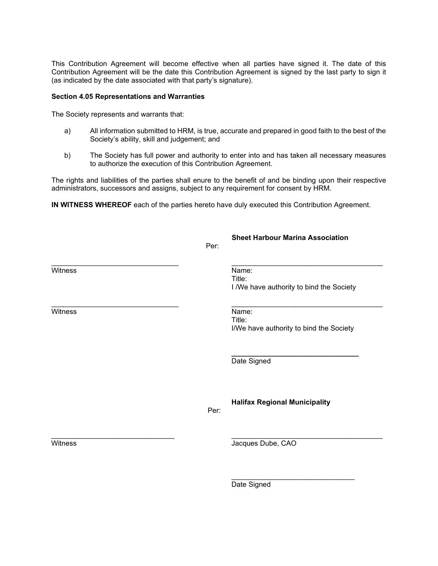This Contribution Agreement will become effective when all parties have signed it. The date of this Contribution Agreement will be the date this Contribution Agreement is signed by the last party to sign it (as indicated by the date associated with that party's signature).

## **Section 4.05 Representations and Warranties**

The Society represents and warrants that:

- a) All information submitted to HRM, is true, accurate and prepared in good faith to the best of the Society's ability, skill and judgement; and
- b) The Society has full power and authority to enter into and has taken all necessary measures to authorize the execution of this Contribution Agreement.

The rights and liabilities of the parties shall enure to the benefit of and be binding upon their respective administrators, successors and assigns, subject to any requirement for consent by HRM.

**IN WITNESS WHEREOF** each of the parties hereto have duly executed this Contribution Agreement.

|         | Per: | <b>Sheet Harbour Marina Association</b>                     |
|---------|------|-------------------------------------------------------------|
| Witness |      | Name:<br>Title:<br>I /We have authority to bind the Society |
| Witness |      | Name:<br>Title:<br>I/We have authority to bind the Society  |
|         |      | Date Signed                                                 |
|         | Per: | <b>Halifax Regional Municipality</b>                        |
| Witness |      | Jacques Dube, CAO                                           |
|         |      | Date Signed                                                 |